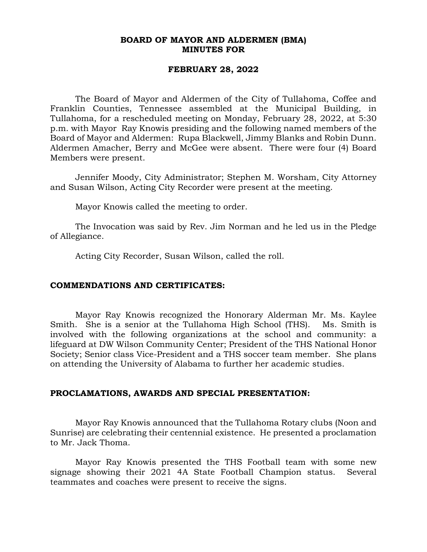### **BOARD OF MAYOR AND ALDERMEN (BMA) MINUTES FOR**

### **FEBRUARY 28, 2022**

The Board of Mayor and Aldermen of the City of Tullahoma, Coffee and Franklin Counties, Tennessee assembled at the Municipal Building, in Tullahoma, for a rescheduled meeting on Monday, February 28, 2022, at 5:30 p.m. with Mayor Ray Knowis presiding and the following named members of the Board of Mayor and Aldermen: Rupa Blackwell, Jimmy Blanks and Robin Dunn. Aldermen Amacher, Berry and McGee were absent. There were four (4) Board Members were present.

Jennifer Moody, City Administrator; Stephen M. Worsham, City Attorney and Susan Wilson, Acting City Recorder were present at the meeting.

Mayor Knowis called the meeting to order.

The Invocation was said by Rev. Jim Norman and he led us in the Pledge of Allegiance.

Acting City Recorder, Susan Wilson, called the roll.

#### **COMMENDATIONS AND CERTIFICATES:**

Mayor Ray Knowis recognized the Honorary Alderman Mr. Ms. Kaylee Smith. She is a senior at the Tullahoma High School (THS). Ms. Smith is involved with the following organizations at the school and community: a lifeguard at DW Wilson Community Center; President of the THS National Honor Society; Senior class Vice-President and a THS soccer team member. She plans on attending the University of Alabama to further her academic studies.

#### **PROCLAMATIONS, AWARDS AND SPECIAL PRESENTATION:**

Mayor Ray Knowis announced that the Tullahoma Rotary clubs (Noon and Sunrise) are celebrating their centennial existence. He presented a proclamation to Mr. Jack Thoma.

Mayor Ray Knowis presented the THS Football team with some new signage showing their 2021 4A State Football Champion status. Several teammates and coaches were present to receive the signs.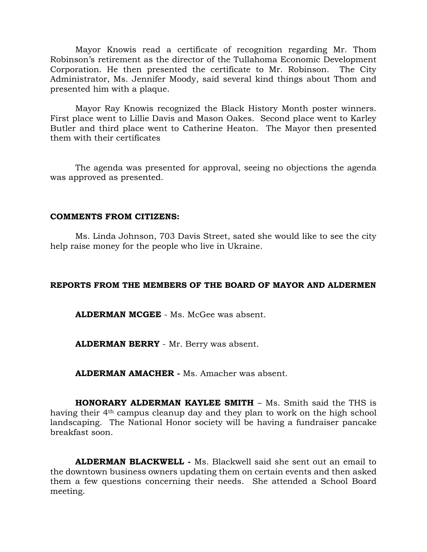Mayor Knowis read a certificate of recognition regarding Mr. Thom Robinson's retirement as the director of the Tullahoma Economic Development Corporation. He then presented the certificate to Mr. Robinson. The City Administrator, Ms. Jennifer Moody, said several kind things about Thom and presented him with a plaque.

Mayor Ray Knowis recognized the Black History Month poster winners. First place went to Lillie Davis and Mason Oakes. Second place went to Karley Butler and third place went to Catherine Heaton. The Mayor then presented them with their certificates

The agenda was presented for approval, seeing no objections the agenda was approved as presented.

### **COMMENTS FROM CITIZENS:**

Ms. Linda Johnson, 703 Davis Street, sated she would like to see the city help raise money for the people who live in Ukraine.

### **REPORTS FROM THE MEMBERS OF THE BOARD OF MAYOR AND ALDERMEN**

**ALDERMAN MCGEE** - Ms. McGee was absent.

**ALDERMAN BERRY** - Mr. Berry was absent.

**ALDERMAN AMACHER -** Ms. Amacher was absent.

**HONORARY ALDERMAN KAYLEE SMITH** – Ms. Smith said the THS is having their 4th campus cleanup day and they plan to work on the high school landscaping. The National Honor society will be having a fundraiser pancake breakfast soon.

**ALDERMAN BLACKWELL -** Ms. Blackwell said she sent out an email to the downtown business owners updating them on certain events and then asked them a few questions concerning their needs. She attended a School Board meeting.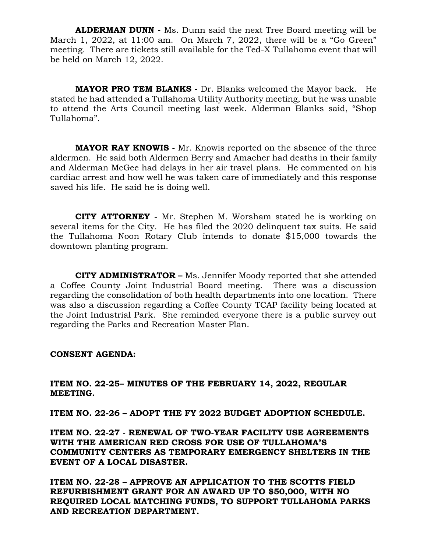**ALDERMAN DUNN -** Ms. Dunn said the next Tree Board meeting will be March 1, 2022, at 11:00 am. On March 7, 2022, there will be a "Go Green" meeting. There are tickets still available for the Ted-X Tullahoma event that will be held on March 12, 2022.

**MAYOR PRO TEM BLANKS -** Dr. Blanks welcomed the Mayor back. He stated he had attended a Tullahoma Utility Authority meeting, but he was unable to attend the Arts Council meeting last week. Alderman Blanks said, "Shop Tullahoma".

**MAYOR RAY KNOWIS -** Mr. Knowis reported on the absence of the three aldermen. He said both Aldermen Berry and Amacher had deaths in their family and Alderman McGee had delays in her air travel plans. He commented on his cardiac arrest and how well he was taken care of immediately and this response saved his life. He said he is doing well.

 **CITY ATTORNEY -** Mr. Stephen M. Worsham stated he is working on several items for the City. He has filed the 2020 delinquent tax suits. He said the Tullahoma Noon Rotary Club intends to donate \$15,000 towards the downtown planting program.

**CITY ADMINISTRATOR –** Ms. Jennifer Moody reported that she attended a Coffee County Joint Industrial Board meeting. There was a discussion regarding the consolidation of both health departments into one location. There was also a discussion regarding a Coffee County TCAP facility being located at the Joint Industrial Park. She reminded everyone there is a public survey out regarding the Parks and Recreation Master Plan.

### **CONSENT AGENDA:**

# **ITEM NO. 22-25– MINUTES OF THE FEBRUARY 14, 2022, REGULAR MEETING.**

**ITEM NO. 22-26 – ADOPT THE FY 2022 BUDGET ADOPTION SCHEDULE.**

**ITEM NO. 22-27 - RENEWAL OF TWO-YEAR FACILITY USE AGREEMENTS WITH THE AMERICAN RED CROSS FOR USE OF TULLAHOMA'S COMMUNITY CENTERS AS TEMPORARY EMERGENCY SHELTERS IN THE EVENT OF A LOCAL DISASTER.**

**ITEM NO. 22-28 – APPROVE AN APPLICATION TO THE SCOTTS FIELD REFURBISHMENT GRANT FOR AN AWARD UP TO \$50,000, WITH NO REQUIRED LOCAL MATCHING FUNDS, TO SUPPORT TULLAHOMA PARKS AND RECREATION DEPARTMENT.**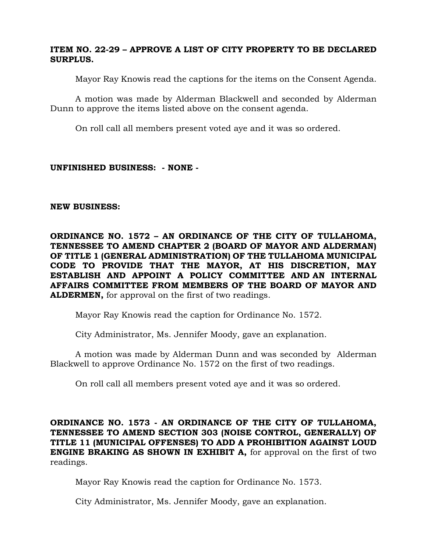# **ITEM NO. 22-29 – APPROVE A LIST OF CITY PROPERTY TO BE DECLARED SURPLUS.**

Mayor Ray Knowis read the captions for the items on the Consent Agenda.

A motion was made by Alderman Blackwell and seconded by Alderman Dunn to approve the items listed above on the consent agenda.

On roll call all members present voted aye and it was so ordered.

# **UNFINISHED BUSINESS: - NONE -**

# **NEW BUSINESS:**

**ORDINANCE NO. 1572 – AN ORDINANCE OF THE CITY OF TULLAHOMA, TENNESSEE TO AMEND CHAPTER 2 (BOARD OF MAYOR AND ALDERMAN) OF TITLE 1 (GENERAL ADMINISTRATION) OF THE TULLAHOMA MUNICIPAL CODE TO PROVIDE THAT THE MAYOR, AT HIS DISCRETION, MAY ESTABLISH AND APPOINT A POLICY COMMITTEE AND AN INTERNAL AFFAIRS COMMITTEE FROM MEMBERS OF THE BOARD OF MAYOR AND ALDERMEN,** for approval on the first of two readings.

Mayor Ray Knowis read the caption for Ordinance No. 1572.

City Administrator, Ms. Jennifer Moody, gave an explanation.

A motion was made by Alderman Dunn and was seconded by Alderman Blackwell to approve Ordinance No. 1572 on the first of two readings.

On roll call all members present voted aye and it was so ordered.

**ORDINANCE NO. 1573 - AN ORDINANCE OF THE CITY OF TULLAHOMA, TENNESSEE TO AMEND SECTION 303 (NOISE CONTROL, GENERALLY) OF TITLE 11 (MUNICIPAL OFFENSES) TO ADD A PROHIBITION AGAINST LOUD ENGINE BRAKING AS SHOWN IN EXHIBIT A,** for approval on the first of two readings.

Mayor Ray Knowis read the caption for Ordinance No. 1573.

City Administrator, Ms. Jennifer Moody, gave an explanation.